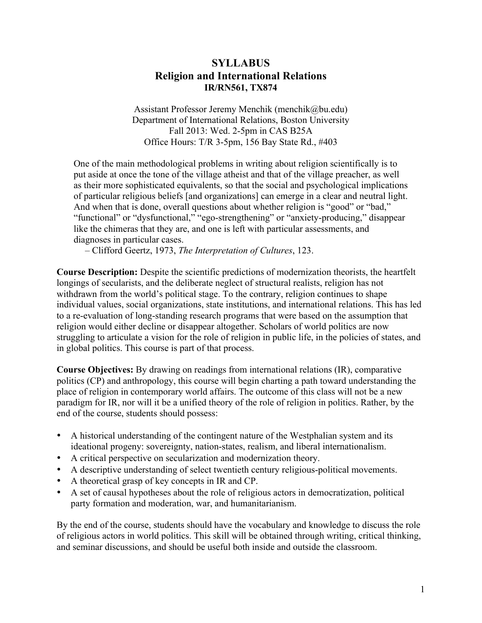# **SYLLABUS Religion and International Relations IR/RN561, TX874**

Assistant Professor Jeremy Menchik (menchik@bu.edu) Department of International Relations, Boston University Fall 2013: Wed. 2-5pm in CAS B25A Office Hours: T/R 3-5pm, 156 Bay State Rd., #403

One of the main methodological problems in writing about religion scientifically is to put aside at once the tone of the village atheist and that of the village preacher, as well as their more sophisticated equivalents, so that the social and psychological implications of particular religious beliefs [and organizations] can emerge in a clear and neutral light. And when that is done, overall questions about whether religion is "good" or "bad," "functional" or "dysfunctional," "ego-strengthening" or "anxiety-producing," disappear like the chimeras that they are, and one is left with particular assessments, and diagnoses in particular cases.

– Clifford Geertz, 1973, *The Interpretation of Cultures*, 123.

**Course Description:** Despite the scientific predictions of modernization theorists, the heartfelt longings of secularists, and the deliberate neglect of structural realists, religion has not withdrawn from the world's political stage. To the contrary, religion continues to shape individual values, social organizations, state institutions, and international relations. This has led to a re-evaluation of long-standing research programs that were based on the assumption that religion would either decline or disappear altogether. Scholars of world politics are now struggling to articulate a vision for the role of religion in public life, in the policies of states, and in global politics. This course is part of that process.

**Course Objectives:** By drawing on readings from international relations (IR), comparative politics (CP) and anthropology, this course will begin charting a path toward understanding the place of religion in contemporary world affairs. The outcome of this class will not be a new paradigm for IR, nor will it be a unified theory of the role of religion in politics. Rather, by the end of the course, students should possess:

- A historical understanding of the contingent nature of the Westphalian system and its ideational progeny: sovereignty, nation-states, realism, and liberal internationalism.
- A critical perspective on secularization and modernization theory.
- A descriptive understanding of select twentieth century religious-political movements.
- A theoretical grasp of key concepts in IR and CP.
- A set of causal hypotheses about the role of religious actors in democratization, political party formation and moderation, war, and humanitarianism.

By the end of the course, students should have the vocabulary and knowledge to discuss the role of religious actors in world politics. This skill will be obtained through writing, critical thinking, and seminar discussions, and should be useful both inside and outside the classroom.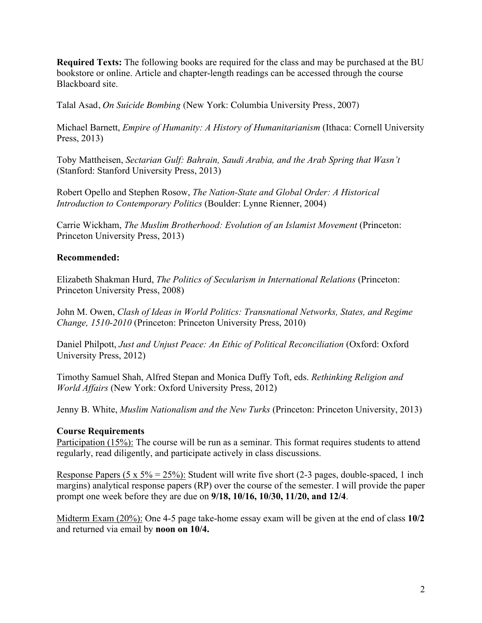**Required Texts:** The following books are required for the class and may be purchased at the BU bookstore or online. Article and chapter-length readings can be accessed through the course Blackboard site.

Talal Asad, *On Suicide Bombing* (New York: Columbia University Press, 2007)

Michael Barnett, *Empire of Humanity: A History of Humanitarianism* (Ithaca: Cornell University Press, 2013)

Toby Mattheisen, *Sectarian Gulf: Bahrain, Saudi Arabia, and the Arab Spring that Wasn't* (Stanford: Stanford University Press, 2013)

Robert Opello and Stephen Rosow, *The Nation-State and Global Order: A Historical Introduction to Contemporary Politics* (Boulder: Lynne Rienner, 2004)

Carrie Wickham, *The Muslim Brotherhood: Evolution of an Islamist Movement* (Princeton: Princeton University Press, 2013)

#### **Recommended:**

Elizabeth Shakman Hurd, *The Politics of Secularism in International Relations* (Princeton: Princeton University Press, 2008)

John M. Owen, *Clash of Ideas in World Politics: Transnational Networks, States, and Regime Change, 1510-2010* (Princeton: Princeton University Press, 2010)

Daniel Philpott, *Just and Unjust Peace: An Ethic of Political Reconciliation* (Oxford: Oxford University Press, 2012)

Timothy Samuel Shah, Alfred Stepan and Monica Duffy Toft, eds. *Rethinking Religion and World Affairs* (New York: Oxford University Press, 2012)

Jenny B. White, *Muslim Nationalism and the New Turks* (Princeton: Princeton University, 2013)

#### **Course Requirements**

Participation (15%): The course will be run as a seminar. This format requires students to attend regularly, read diligently, and participate actively in class discussions.

Response Papers (5 x 5% = 25%): Student will write five short (2-3 pages, double-spaced, 1 inch margins) analytical response papers (RP) over the course of the semester. I will provide the paper prompt one week before they are due on **9/18, 10/16, 10/30, 11/20, and 12/4**.

Midterm Exam (20%): One 4-5 page take-home essay exam will be given at the end of class **10/2** and returned via email by **noon on 10/4.**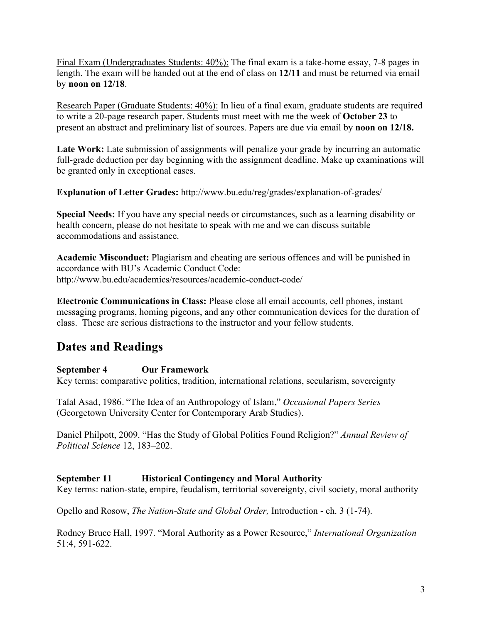Final Exam (Undergraduates Students: 40%): The final exam is a take-home essay, 7-8 pages in length. The exam will be handed out at the end of class on **12/11** and must be returned via email by **noon on 12/18**.

Research Paper (Graduate Students: 40%): In lieu of a final exam, graduate students are required to write a 20-page research paper. Students must meet with me the week of **October 23** to present an abstract and preliminary list of sources. Papers are due via email by **noon on 12/18.** 

Late Work: Late submission of assignments will penalize your grade by incurring an automatic full-grade deduction per day beginning with the assignment deadline. Make up examinations will be granted only in exceptional cases.

**Explanation of Letter Grades:** http://www.bu.edu/reg/grades/explanation-of-grades/

**Special Needs:** If you have any special needs or circumstances, such as a learning disability or health concern, please do not hesitate to speak with me and we can discuss suitable accommodations and assistance.

**Academic Misconduct:** Plagiarism and cheating are serious offences and will be punished in accordance with BU's Academic Conduct Code: http://www.bu.edu/academics/resources/academic-conduct-code/

**Electronic Communications in Class:** Please close all email accounts, cell phones, instant messaging programs, homing pigeons, and any other communication devices for the duration of class. These are serious distractions to the instructor and your fellow students.

# **Dates and Readings**

# **September 4 Our Framework**

Key terms: comparative politics, tradition, international relations, secularism, sovereignty

Talal Asad, 1986. "The Idea of an Anthropology of Islam," *Occasional Papers Series* (Georgetown University Center for Contemporary Arab Studies).

Daniel Philpott, 2009. "Has the Study of Global Politics Found Religion?" *Annual Review of Political Science* 12, 183–202.

# **September 11 Historical Contingency and Moral Authority**

Key terms: nation-state, empire, feudalism, territorial sovereignty, civil society, moral authority

Opello and Rosow, *The Nation-State and Global Order,* Introduction - ch. 3 (1-74).

Rodney Bruce Hall, 1997. "Moral Authority as a Power Resource," *International Organization* 51:4, 591-622.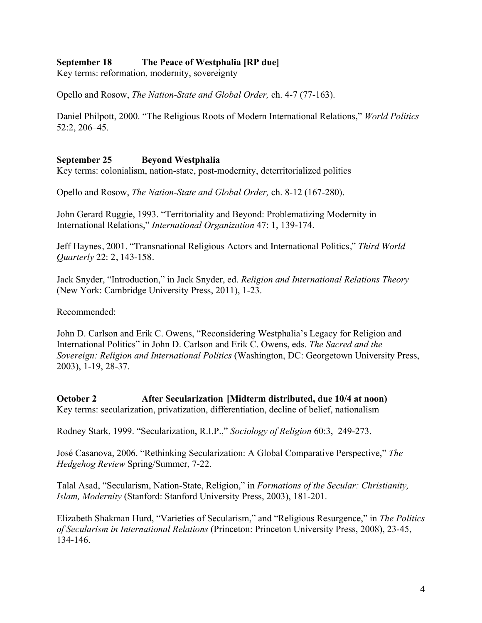# **September 18 The Peace of Westphalia [RP due]**

Key terms: reformation, modernity, sovereignty

Opello and Rosow, *The Nation-State and Global Order,* ch. 4-7 (77-163).

Daniel Philpott, 2000. "The Religious Roots of Modern International Relations," *World Politics* 52:2, 206–45.

#### **September 25 Beyond Westphalia**

Key terms: colonialism, nation-state, post-modernity, deterritorialized politics

Opello and Rosow, *The Nation-State and Global Order,* ch. 8-12 (167-280).

John Gerard Ruggie, 1993. "Territoriality and Beyond: Problematizing Modernity in International Relations," *International Organization* 47: 1, 139-174.

Jeff Haynes, 2001. "Transnational Religious Actors and International Politics," *Third World Quarterly* 22: 2, 143-158.

Jack Snyder, "Introduction," in Jack Snyder, ed. *Religion and International Relations Theory* (New York: Cambridge University Press, 2011), 1-23.

Recommended:

John D. Carlson and Erik C. Owens, "Reconsidering Westphalia's Legacy for Religion and International Politics" in John D. Carlson and Erik C. Owens, eds. *The Sacred and the Sovereign: Religion and International Politics* (Washington, DC: Georgetown University Press, 2003), 1-19, 28-37.

**October 2 After Secularization [Midterm distributed, due 10/4 at noon)** Key terms: secularization, privatization, differentiation, decline of belief, nationalism

Rodney Stark, 1999. "Secularization, R.I.P.," *Sociology of Religion* 60:3, 249-273.

José Casanova, 2006. "Rethinking Secularization: A Global Comparative Perspective," *The Hedgehog Review* Spring/Summer, 7-22.

Talal Asad, "Secularism, Nation-State, Religion," in *Formations of the Secular: Christianity, Islam, Modernity* (Stanford: Stanford University Press, 2003), 181-201.

Elizabeth Shakman Hurd, "Varieties of Secularism," and "Religious Resurgence," in *The Politics of Secularism in International Relations* (Princeton: Princeton University Press, 2008), 23-45, 134-146.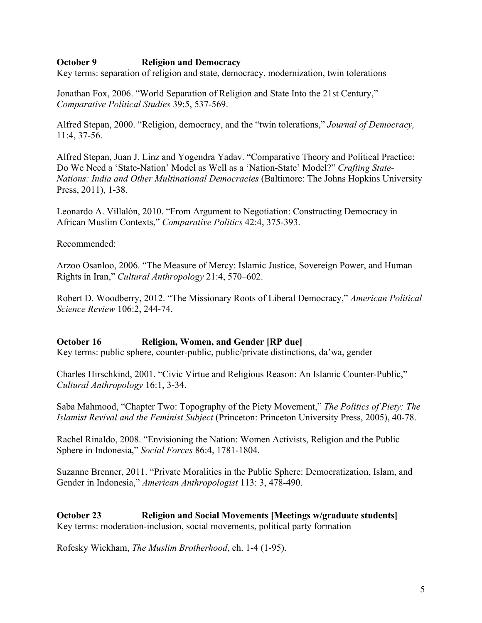### **October 9 Religion and Democracy**

Key terms: separation of religion and state, democracy, modernization, twin tolerations

Jonathan Fox, 2006. "World Separation of Religion and State Into the 21st Century," *Comparative Political Studies* 39:5, 537-569.

Alfred Stepan, 2000. "Religion, democracy, and the "twin tolerations," *Journal of Democracy,* 11:4, 37-56.

Alfred Stepan, Juan J. Linz and Yogendra Yadav. "Comparative Theory and Political Practice: Do We Need a 'State-Nation' Model as Well as a 'Nation-State' Model?" *Crafting State-Nations: India and Other Multinational Democracies* (Baltimore: The Johns Hopkins University Press, 2011), 1-38.

Leonardo A. Villalón, 2010. "From Argument to Negotiation: Constructing Democracy in African Muslim Contexts," *Comparative Politics* 42:4, 375-393.

Recommended:

Arzoo Osanloo, 2006. "The Measure of Mercy: Islamic Justice, Sovereign Power, and Human Rights in Iran," *Cultural Anthropology* 21:4, 570–602.

Robert D. Woodberry, 2012. "The Missionary Roots of Liberal Democracy," *American Political Science Review* 106:2, 244-74.

#### **October 16 Religion, Women, and Gender [RP due]**

Key terms: public sphere, counter-public, public/private distinctions, da'wa, gender

Charles Hirschkind, 2001. "Civic Virtue and Religious Reason: An Islamic Counter-Public," *Cultural Anthropology* 16:1, 3-34.

Saba Mahmood, "Chapter Two: Topography of the Piety Movement," *The Politics of Piety: The Islamist Revival and the Feminist Subject* (Princeton: Princeton University Press, 2005), 40-78.

Rachel Rinaldo, 2008. "Envisioning the Nation: Women Activists, Religion and the Public Sphere in Indonesia," *Social Forces* 86:4, 1781-1804.

Suzanne Brenner, 2011. "Private Moralities in the Public Sphere: Democratization, Islam, and Gender in Indonesia," *American Anthropologist* 113: 3, 478-490.

**October 23 Religion and Social Movements [Meetings w/graduate students]** Key terms: moderation-inclusion, social movements, political party formation

Rofesky Wickham, *The Muslim Brotherhood*, ch. 1-4 (1-95).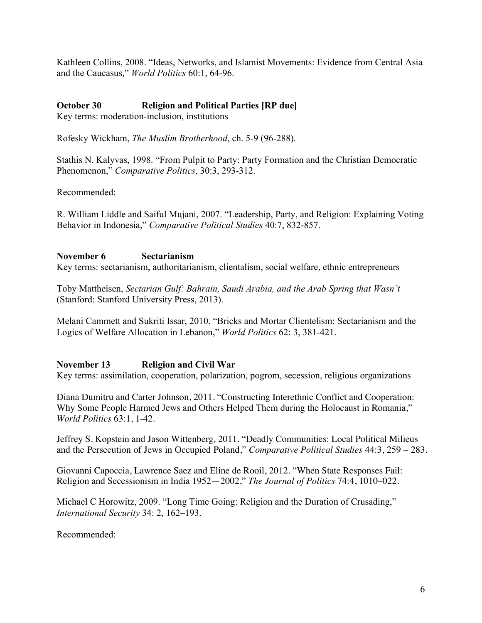Kathleen Collins, 2008. "Ideas, Networks, and Islamist Movements: Evidence from Central Asia and the Caucasus," *World Politics* 60:1, 64-96.

# **October 30 Religion and Political Parties [RP due]**

Key terms: moderation-inclusion, institutions

Rofesky Wickham, *The Muslim Brotherhood*, ch. 5-9 (96-288).

Stathis N. Kalyvas, 1998. "From Pulpit to Party: Party Formation and the Christian Democratic Phenomenon," *Comparative Politics*, 30:3, 293-312.

Recommended:

R. William Liddle and Saiful Mujani, 2007. "Leadership, Party, and Religion: Explaining Voting Behavior in Indonesia," *Comparative Political Studies* 40:7, 832-857.

# **November 6 Sectarianism**

Key terms: sectarianism, authoritarianism, clientalism, social welfare, ethnic entrepreneurs

Toby Mattheisen, *Sectarian Gulf: Bahrain, Saudi Arabia, and the Arab Spring that Wasn't* (Stanford: Stanford University Press, 2013).

Melani Cammett and Sukriti Issar, 2010. "Bricks and Mortar Clientelism: Sectarianism and the Logics of Welfare Allocation in Lebanon," *World Politics* 62: 3, 381-421.

# **November 13 Religion and Civil War**

Key terms: assimilation, cooperation, polarization, pogrom, secession, religious organizations

Diana Dumitru and Carter Johnson, 2011. "Constructing Interethnic Conflict and Cooperation: Why Some People Harmed Jews and Others Helped Them during the Holocaust in Romania," *World Politics* 63:1, 1-42.

Jeffrey S. Kopstein and Jason Wittenberg*,* 2011. "Deadly Communities: Local Political Milieus and the Persecution of Jews in Occupied Poland," *Comparative Political Studies* 44:3, 259 – 283.

Giovanni Capoccia, Lawrence Saez and Eline de Rooil, 2012. "When State Responses Fail: Religion and Secessionism in India 1952—2002," *The Journal of Politics* 74:4, 1010–022.

Michael C Horowitz, 2009. "Long Time Going: Religion and the Duration of Crusading," *International Security* 34: 2, 162–193.

Recommended: